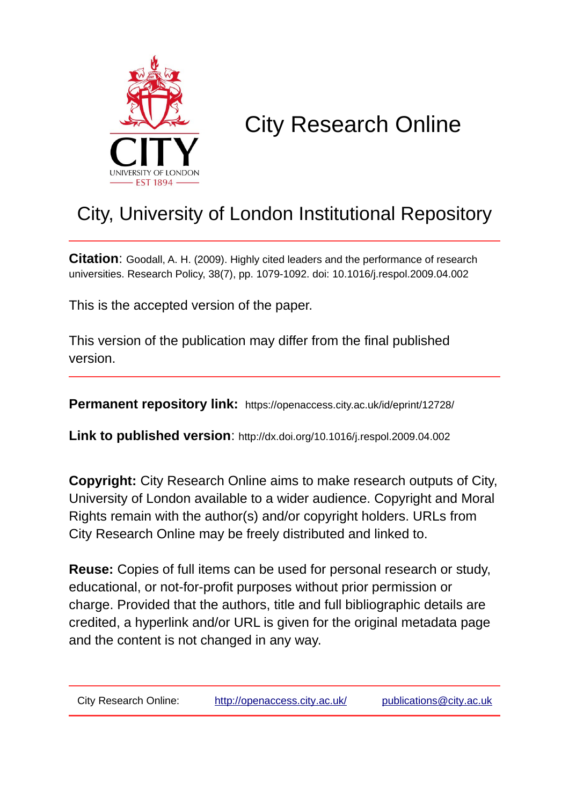

# City Research Online

## City, University of London Institutional Repository

**Citation:** Goodall, A. H. (2009). Highly cited leaders and the performance of research universities. Research Policy, 38(7), pp. 1079-1092. doi: 10.1016/j.respol.2009.04.002

This is the accepted version of the paper.

This version of the publication may differ from the final published version.

**Permanent repository link:** https://openaccess.city.ac.uk/id/eprint/12728/

**Link to published version**: http://dx.doi.org/10.1016/j.respol.2009.04.002

**Copyright:** City Research Online aims to make research outputs of City, University of London available to a wider audience. Copyright and Moral Rights remain with the author(s) and/or copyright holders. URLs from City Research Online may be freely distributed and linked to.

**Reuse:** Copies of full items can be used for personal research or study, educational, or not-for-profit purposes without prior permission or charge. Provided that the authors, title and full bibliographic details are credited, a hyperlink and/or URL is given for the original metadata page and the content is not changed in any way.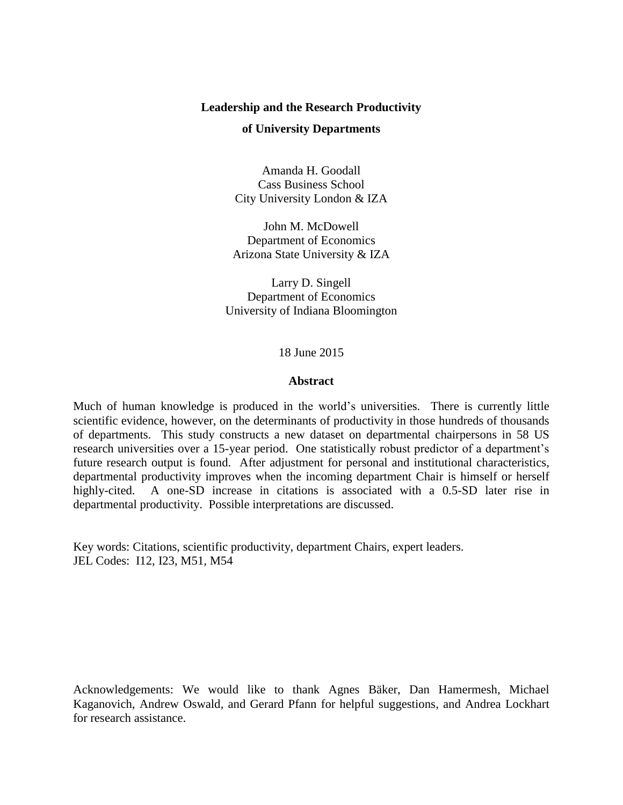#### **Leadership and the Research Productivity**

#### **of University Departments**

Amanda H. Goodall Cass Business School City University London & IZA

John M. McDowell Department of Economics Arizona State University & IZA

Larry D. Singell Department of Economics University of Indiana Bloomington

18 June 2015

#### **Abstract**

Much of human knowledge is produced in the world's universities. There is currently little scientific evidence, however, on the determinants of productivity in those hundreds of thousands of departments. This study constructs a new dataset on departmental chairpersons in 58 US research universities over a 15-year period. One statistically robust predictor of a department's future research output is found. After adjustment for personal and institutional characteristics, departmental productivity improves when the incoming department Chair is himself or herself highly-cited. A one-SD increase in citations is associated with a 0.5-SD later rise in departmental productivity. Possible interpretations are discussed.

Key words: Citations, scientific productivity, department Chairs, expert leaders. JEL Codes: I12, I23, M51, M54

Acknowledgements: We would like to thank Agnes Bäker, Dan Hamermesh, Michael Kaganovich, Andrew Oswald, and Gerard Pfann for helpful suggestions, and Andrea Lockhart for research assistance.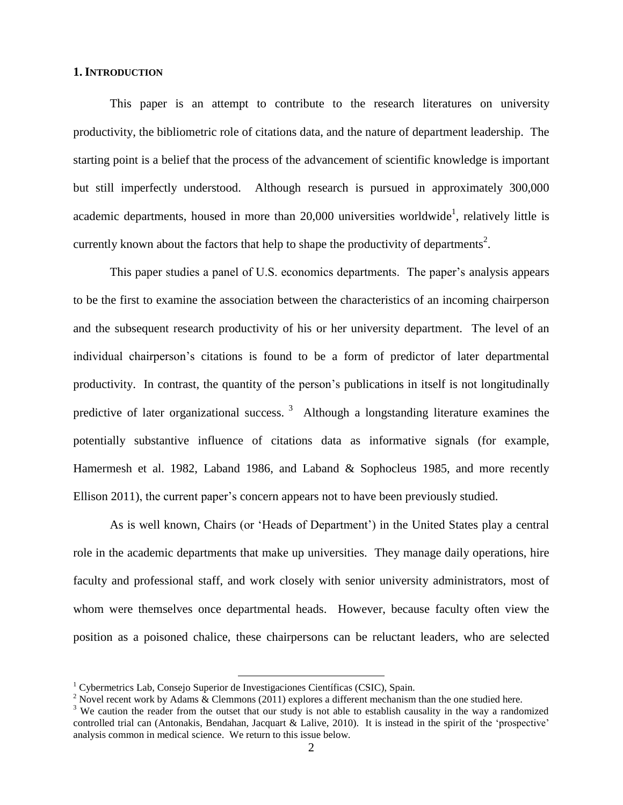#### **1. INTRODUCTION**

This paper is an attempt to contribute to the research literatures on university productivity, the bibliometric role of citations data, and the nature of department leadership. The starting point is a belief that the process of the advancement of scientific knowledge is important but still imperfectly understood. Although research is pursued in approximately 300,000 academic departments, housed in more than 20,000 universities worldwide<sup>1</sup>, relatively little is currently known about the factors that help to shape the productivity of departments<sup>2</sup>.

This paper studies a panel of U.S. economics departments. The paper's analysis appears to be the first to examine the association between the characteristics of an incoming chairperson and the subsequent research productivity of his or her university department. The level of an individual chairperson's citations is found to be a form of predictor of later departmental productivity. In contrast, the quantity of the person's publications in itself is not longitudinally predictive of later organizational success.  $3$  Although a longstanding literature examines the potentially substantive influence of citations data as informative signals (for example, Hamermesh et al. 1982, Laband 1986, and Laband & Sophocleus 1985, and more recently Ellison 2011), the current paper's concern appears not to have been previously studied.

As is well known, Chairs (or 'Heads of Department') in the United States play a central role in the academic departments that make up universities. They manage daily operations, hire faculty and professional staff, and work closely with senior university administrators, most of whom were themselves once departmental heads. However, because faculty often view the position as a poisoned chalice, these chairpersons can be reluctant leaders, who are selected

 $\overline{a}$ <sup>1</sup> Cybermetrics Lab, Consejo Superior de Investigaciones Científicas (CSIC), Spain.

<sup>&</sup>lt;sup>2</sup> Novel recent work by Adams  $\&$  Clemmons (2011) explores a different mechanism than the one studied here.

<sup>&</sup>lt;sup>3</sup> We caution the reader from the outset that our study is not able to establish causality in the way a randomized controlled trial can (Antonakis, Bendahan, Jacquart & Lalive, 2010). It is instead in the spirit of the 'prospective' analysis common in medical science. We return to this issue below.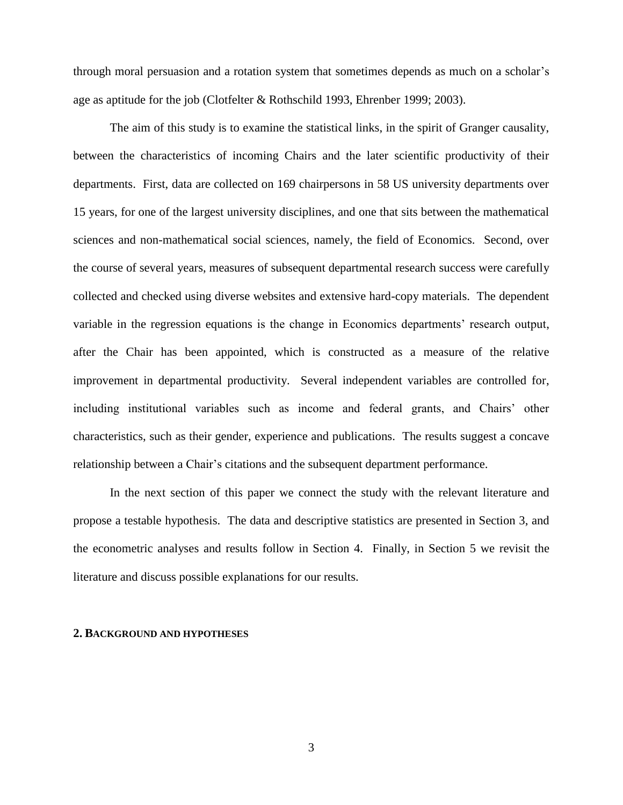through moral persuasion and a rotation system that sometimes depends as much on a scholar's age as aptitude for the job (Clotfelter & Rothschild 1993, Ehrenber 1999; 2003).

The aim of this study is to examine the statistical links, in the spirit of Granger causality, between the characteristics of incoming Chairs and the later scientific productivity of their departments. First, data are collected on 169 chairpersons in 58 US university departments over 15 years, for one of the largest university disciplines, and one that sits between the mathematical sciences and non-mathematical social sciences, namely, the field of Economics. Second, over the course of several years, measures of subsequent departmental research success were carefully collected and checked using diverse websites and extensive hard-copy materials. The dependent variable in the regression equations is the change in Economics departments' research output, after the Chair has been appointed, which is constructed as a measure of the relative improvement in departmental productivity. Several independent variables are controlled for, including institutional variables such as income and federal grants, and Chairs' other characteristics, such as their gender, experience and publications. The results suggest a concave relationship between a Chair's citations and the subsequent department performance.

In the next section of this paper we connect the study with the relevant literature and propose a testable hypothesis. The data and descriptive statistics are presented in Section 3, and the econometric analyses and results follow in Section 4. Finally, in Section 5 we revisit the literature and discuss possible explanations for our results.

#### **2. BACKGROUND AND HYPOTHESES**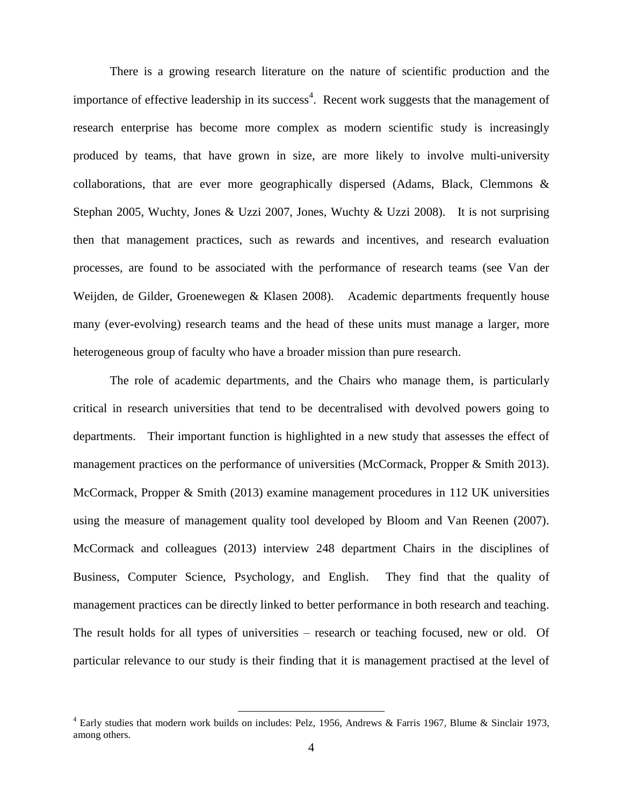There is a growing research literature on the nature of scientific production and the importance of effective leadership in its success<sup>4</sup>. Recent work suggests that the management of research enterprise has become more complex as modern scientific study is increasingly produced by teams, that have grown in size, are more likely to involve multi-university collaborations, that are ever more geographically dispersed (Adams, Black, Clemmons & Stephan 2005, Wuchty, Jones & Uzzi 2007, Jones, Wuchty & Uzzi 2008). It is not surprising then that management practices, such as rewards and incentives, and research evaluation processes, are found to be associated with the performance of research teams (see Van der Weijden, de Gilder, Groenewegen & Klasen 2008). Academic departments frequently house many (ever-evolving) research teams and the head of these units must manage a larger, more heterogeneous group of faculty who have a broader mission than pure research.

The role of academic departments, and the Chairs who manage them, is particularly critical in research universities that tend to be decentralised with devolved powers going to departments. Their important function is highlighted in a new study that assesses the effect of management practices on the performance of universities (McCormack, Propper & Smith 2013). McCormack, Propper & Smith (2013) examine management procedures in 112 UK universities using the measure of management quality tool developed by Bloom and Van Reenen (2007). McCormack and colleagues (2013) interview 248 department Chairs in the disciplines of Business, Computer Science, Psychology, and English. They find that the quality of management practices can be directly linked to better performance in both research and teaching. The result holds for all types of universities – research or teaching focused, new or old. Of particular relevance to our study is their finding that it is management practised at the level of

<sup>4</sup> Early studies that modern work builds on includes: Pelz, 1956, Andrews & Farris 1967, Blume & Sinclair 1973, among others.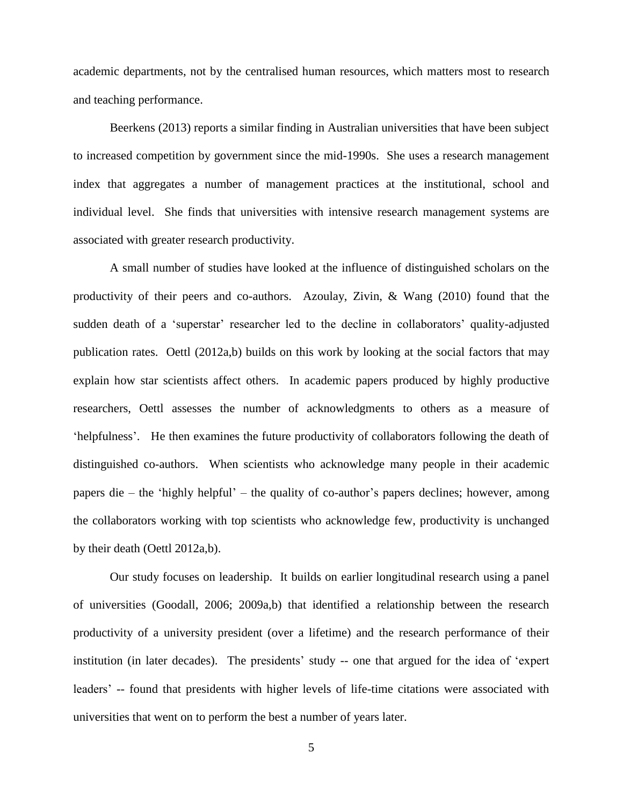academic departments, not by the centralised human resources, which matters most to research and teaching performance.

Beerkens (2013) reports a similar finding in Australian universities that have been subject to increased competition by government since the mid-1990s. She uses a research management index that aggregates a number of management practices at the institutional, school and individual level. She finds that universities with intensive research management systems are associated with greater research productivity.

A small number of studies have looked at the influence of distinguished scholars on the productivity of their peers and co-authors. Azoulay, Zivin, & Wang (2010) found that the sudden death of a 'superstar' researcher led to the decline in collaborators' quality-adjusted publication rates. Oettl (2012a,b) builds on this work by looking at the social factors that may explain how star scientists affect others. In academic papers produced by highly productive researchers, Oettl assesses the number of acknowledgments to others as a measure of 'helpfulness'. He then examines the future productivity of collaborators following the death of distinguished co-authors. When scientists who acknowledge many people in their academic papers die – the 'highly helpful' – the quality of co-author's papers declines; however, among the collaborators working with top scientists who acknowledge few, productivity is unchanged by their death (Oettl 2012a,b).

Our study focuses on leadership. It builds on earlier longitudinal research using a panel of universities (Goodall, 2006; 2009a,b) that identified a relationship between the research productivity of a university president (over a lifetime) and the research performance of their institution (in later decades). The presidents' study -- one that argued for the idea of 'expert leaders' -- found that presidents with higher levels of life-time citations were associated with universities that went on to perform the best a number of years later.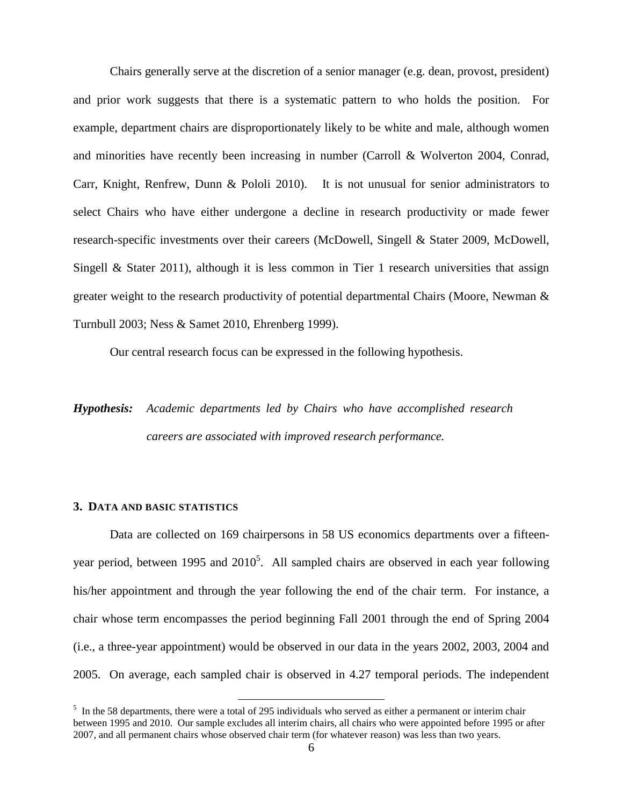Chairs generally serve at the discretion of a senior manager (e.g. dean, provost, president) and prior work suggests that there is a systematic pattern to who holds the position. For example, department chairs are disproportionately likely to be white and male, although women and minorities have recently been increasing in number (Carroll & Wolverton 2004, Conrad, Carr, Knight, Renfrew, Dunn & Pololi 2010). It is not unusual for senior administrators to select Chairs who have either undergone a decline in research productivity or made fewer research-specific investments over their careers (McDowell, Singell & Stater 2009, McDowell, Singell & Stater 2011), although it is less common in Tier 1 research universities that assign greater weight to the research productivity of potential departmental Chairs (Moore, Newman & Turnbull 2003; Ness & Samet 2010, Ehrenberg 1999).

Our central research focus can be expressed in the following hypothesis.

## *Hypothesis: Academic departments led by Chairs who have accomplished research careers are associated with improved research performance.*

#### **3. DATA AND BASIC STATISTICS**

Data are collected on 169 chairpersons in 58 US economics departments over a fifteenyear period, between 1995 and  $2010<sup>5</sup>$ . All sampled chairs are observed in each year following his/her appointment and through the year following the end of the chair term. For instance, a chair whose term encompasses the period beginning Fall 2001 through the end of Spring 2004 (i.e., a three-year appointment) would be observed in our data in the years 2002, 2003, 2004 and 2005. On average, each sampled chair is observed in 4.27 temporal periods. The independent

 $<sup>5</sup>$  In the 58 departments, there were a total of 295 individuals who served as either a permanent or interim chair</sup> between 1995 and 2010. Our sample excludes all interim chairs, all chairs who were appointed before 1995 or after 2007, and all permanent chairs whose observed chair term (for whatever reason) was less than two years.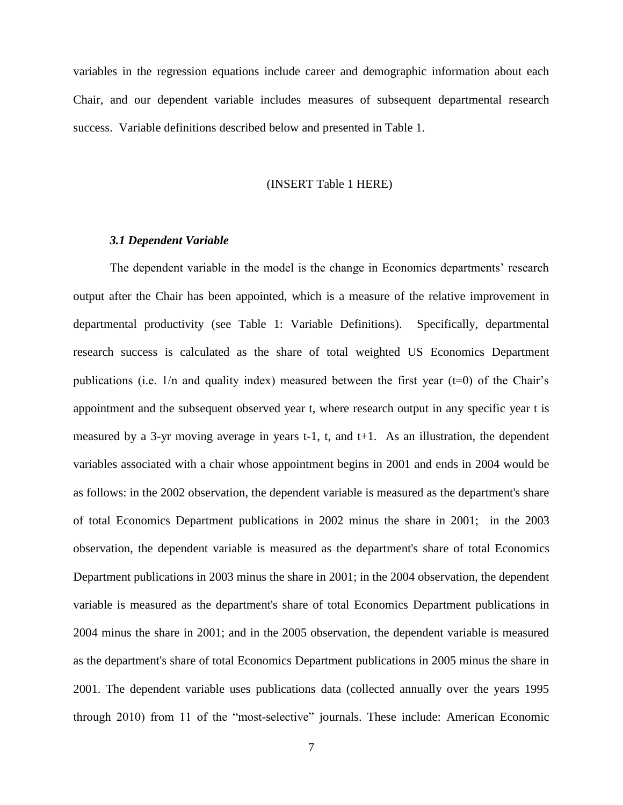variables in the regression equations include career and demographic information about each Chair, and our dependent variable includes measures of subsequent departmental research success. Variable definitions described below and presented in Table 1.

#### (INSERT Table 1 HERE)

#### *3.1 Dependent Variable*

The dependent variable in the model is the change in Economics departments' research output after the Chair has been appointed, which is a measure of the relative improvement in departmental productivity (see Table 1: Variable Definitions). Specifically, departmental research success is calculated as the share of total weighted US Economics Department publications (i.e.  $1/n$  and quality index) measured between the first year ( $t=0$ ) of the Chair's appointment and the subsequent observed year t, where research output in any specific year t is measured by a 3-yr moving average in years t-1, t, and t+1. As an illustration, the dependent variables associated with a chair whose appointment begins in 2001 and ends in 2004 would be as follows: in the 2002 observation, the dependent variable is measured as the department's share of total Economics Department publications in 2002 minus the share in 2001; in the 2003 observation, the dependent variable is measured as the department's share of total Economics Department publications in 2003 minus the share in 2001; in the 2004 observation, the dependent variable is measured as the department's share of total Economics Department publications in 2004 minus the share in 2001; and in the 2005 observation, the dependent variable is measured as the department's share of total Economics Department publications in 2005 minus the share in 2001. The dependent variable uses publications data (collected annually over the years 1995 through 2010) from 11 of the "most-selective" journals. These include: American Economic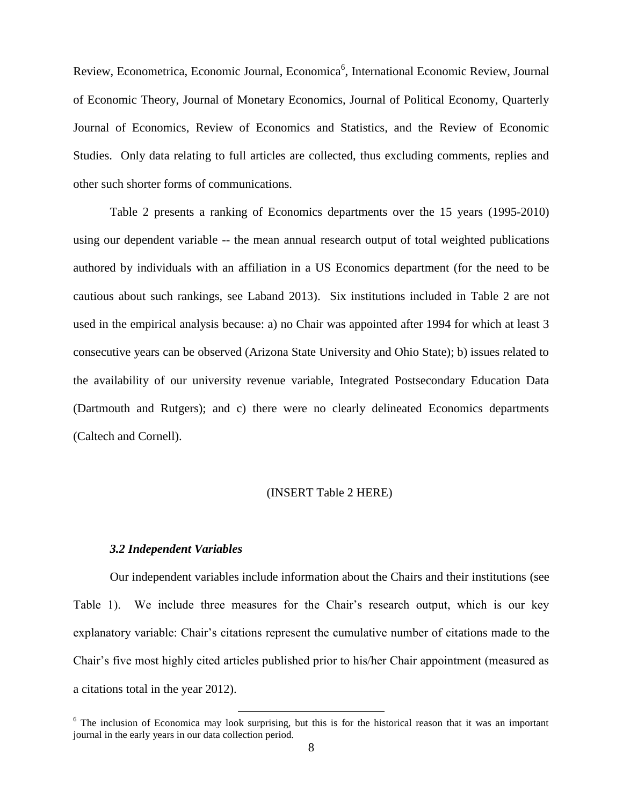Review, Econometrica, Economic Journal, Economica<sup>6</sup>, International Economic Review, Journal of Economic Theory, Journal of Monetary Economics, Journal of Political Economy, Quarterly Journal of Economics, Review of Economics and Statistics, and the Review of Economic Studies. Only data relating to full articles are collected, thus excluding comments, replies and other such shorter forms of communications.

Table 2 presents a ranking of Economics departments over the 15 years (1995-2010) using our dependent variable -- the mean annual research output of total weighted publications authored by individuals with an affiliation in a US Economics department (for the need to be cautious about such rankings, see Laband 2013). Six institutions included in Table 2 are not used in the empirical analysis because: a) no Chair was appointed after 1994 for which at least 3 consecutive years can be observed (Arizona State University and Ohio State); b) issues related to the availability of our university revenue variable, Integrated Postsecondary Education Data (Dartmouth and Rutgers); and c) there were no clearly delineated Economics departments (Caltech and Cornell).

#### (INSERT Table 2 HERE)

#### *3.2 Independent Variables*

Our independent variables include information about the Chairs and their institutions (see Table 1). We include three measures for the Chair's research output, which is our key explanatory variable: Chair's citations represent the cumulative number of citations made to the Chair's five most highly cited articles published prior to his/her Chair appointment (measured as a citations total in the year 2012).

 $6$  The inclusion of Economica may look surprising, but this is for the historical reason that it was an important journal in the early years in our data collection period.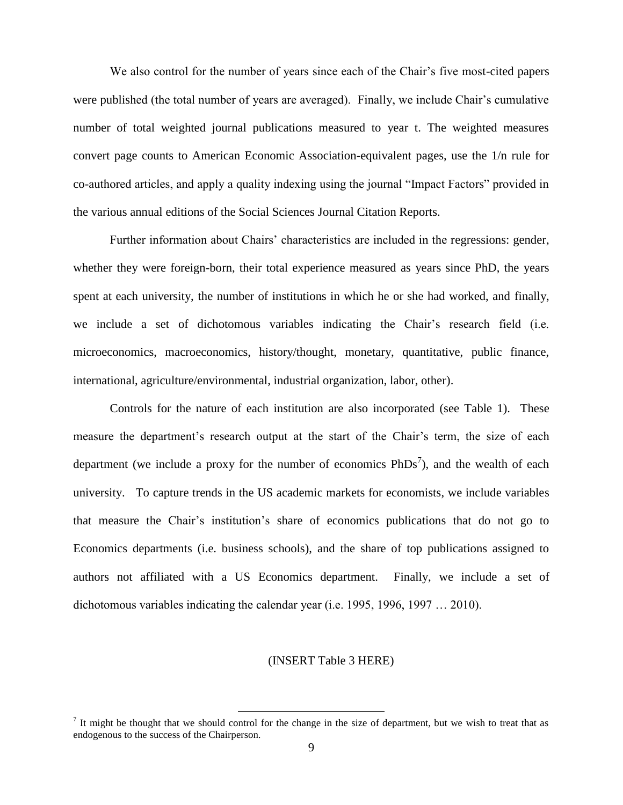We also control for the number of years since each of the Chair's five most-cited papers were published (the total number of years are averaged). Finally, we include Chair's cumulative number of total weighted journal publications measured to year t. The weighted measures convert page counts to American Economic Association-equivalent pages, use the 1/n rule for co-authored articles, and apply a quality indexing using the journal "Impact Factors" provided in the various annual editions of the Social Sciences Journal Citation Reports.

Further information about Chairs' characteristics are included in the regressions: gender, whether they were foreign-born, their total experience measured as years since PhD, the years spent at each university, the number of institutions in which he or she had worked, and finally, we include a set of dichotomous variables indicating the Chair's research field (i.e. microeconomics, macroeconomics, history/thought, monetary, quantitative, public finance, international, agriculture/environmental, industrial organization, labor, other).

Controls for the nature of each institution are also incorporated (see Table 1). These measure the department's research output at the start of the Chair's term, the size of each department (we include a proxy for the number of economics  $PhDs<sup>7</sup>$ ), and the wealth of each university. To capture trends in the US academic markets for economists, we include variables that measure the Chair's institution's share of economics publications that do not go to Economics departments (i.e. business schools), and the share of top publications assigned to authors not affiliated with a US Economics department. Finally, we include a set of dichotomous variables indicating the calendar year (i.e. 1995, 1996, 1997 … 2010).

#### (INSERT Table 3 HERE)

It might be thought that we should control for the change in the size of department, but we wish to treat that as endogenous to the success of the Chairperson.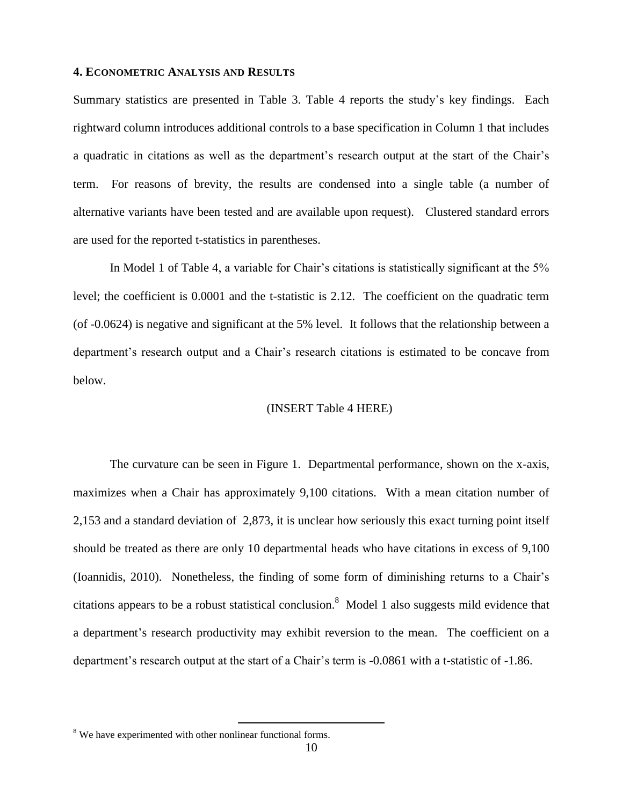#### **4. ECONOMETRIC ANALYSIS AND RESULTS**

Summary statistics are presented in Table 3. Table 4 reports the study's key findings. Each rightward column introduces additional controls to a base specification in Column 1 that includes a quadratic in citations as well as the department's research output at the start of the Chair's term. For reasons of brevity, the results are condensed into a single table (a number of alternative variants have been tested and are available upon request). Clustered standard errors are used for the reported t-statistics in parentheses.

In Model 1 of Table 4, a variable for Chair's citations is statistically significant at the 5% level; the coefficient is 0.0001 and the t-statistic is 2.12. The coefficient on the quadratic term (of -0.0624) is negative and significant at the 5% level. It follows that the relationship between a department's research output and a Chair's research citations is estimated to be concave from below.

#### (INSERT Table 4 HERE)

The curvature can be seen in Figure 1. Departmental performance, shown on the x-axis, maximizes when a Chair has approximately 9,100 citations. With a mean citation number of 2,153 and a standard deviation of 2,873, it is unclear how seriously this exact turning point itself should be treated as there are only 10 departmental heads who have citations in excess of 9,100 (Ioannidis, 2010). Nonetheless, the finding of some form of diminishing returns to a Chair's citations appears to be a robust statistical conclusion.<sup>8</sup> Model 1 also suggests mild evidence that a department's research productivity may exhibit reversion to the mean. The coefficient on a department's research output at the start of a Chair's term is -0.0861 with a t-statistic of -1.86.

<sup>&</sup>lt;sup>8</sup> We have experimented with other nonlinear functional forms.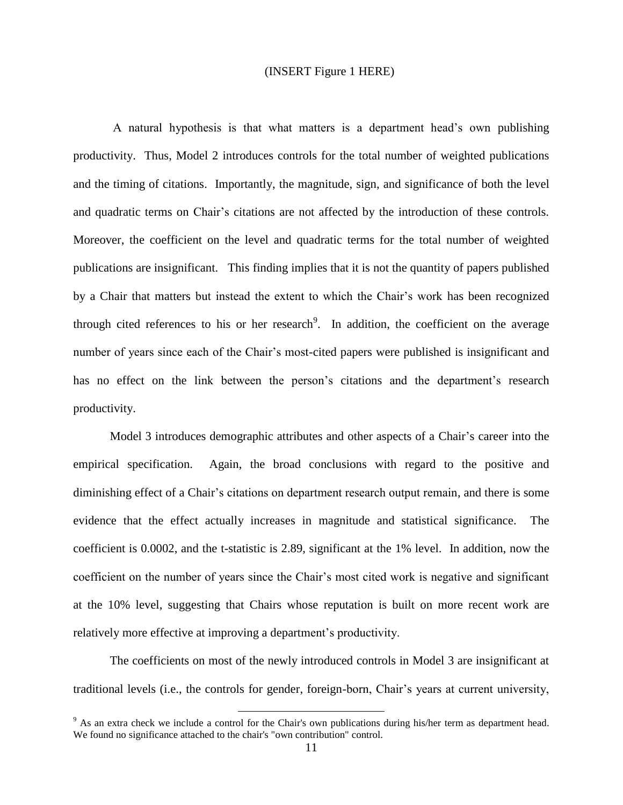#### (INSERT Figure 1 HERE)

A natural hypothesis is that what matters is a department head's own publishing productivity. Thus, Model 2 introduces controls for the total number of weighted publications and the timing of citations. Importantly, the magnitude, sign, and significance of both the level and quadratic terms on Chair's citations are not affected by the introduction of these controls. Moreover, the coefficient on the level and quadratic terms for the total number of weighted publications are insignificant. This finding implies that it is not the quantity of papers published by a Chair that matters but instead the extent to which the Chair's work has been recognized through cited references to his or her research<sup>9</sup>. In addition, the coefficient on the average number of years since each of the Chair's most-cited papers were published is insignificant and has no effect on the link between the person's citations and the department's research productivity.

Model 3 introduces demographic attributes and other aspects of a Chair's career into the empirical specification. Again, the broad conclusions with regard to the positive and diminishing effect of a Chair's citations on department research output remain, and there is some evidence that the effect actually increases in magnitude and statistical significance. The coefficient is 0.0002, and the t-statistic is 2.89, significant at the 1% level. In addition, now the coefficient on the number of years since the Chair's most cited work is negative and significant at the 10% level, suggesting that Chairs whose reputation is built on more recent work are relatively more effective at improving a department's productivity.

The coefficients on most of the newly introduced controls in Model 3 are insignificant at traditional levels (i.e., the controls for gender, foreign-born, Chair's years at current university,

 $9$  As an extra check we include a control for the Chair's own publications during his/her term as department head. We found no significance attached to the chair's "own contribution" control.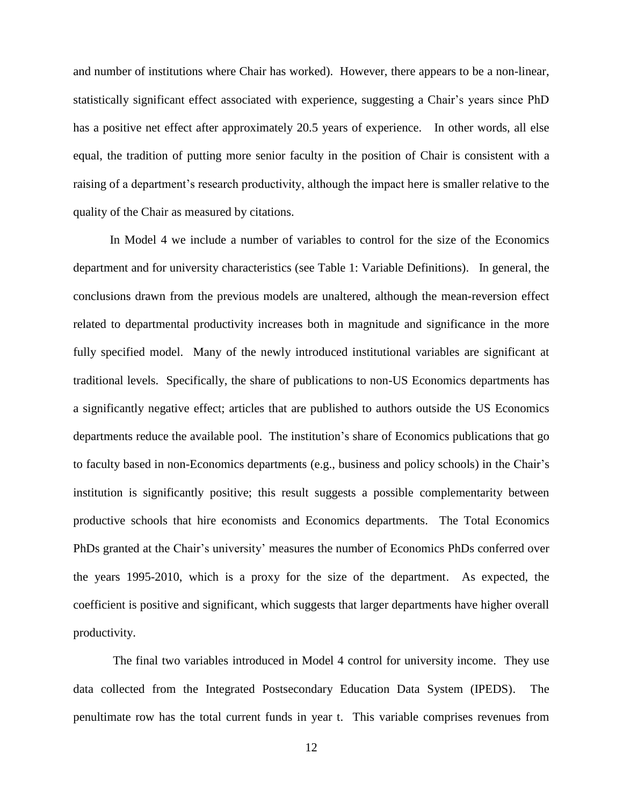and number of institutions where Chair has worked). However, there appears to be a non-linear, statistically significant effect associated with experience, suggesting a Chair's years since PhD has a positive net effect after approximately 20.5 years of experience. In other words, all else equal, the tradition of putting more senior faculty in the position of Chair is consistent with a raising of a department's research productivity, although the impact here is smaller relative to the quality of the Chair as measured by citations.

In Model 4 we include a number of variables to control for the size of the Economics department and for university characteristics (see Table 1: Variable Definitions). In general, the conclusions drawn from the previous models are unaltered, although the mean-reversion effect related to departmental productivity increases both in magnitude and significance in the more fully specified model. Many of the newly introduced institutional variables are significant at traditional levels. Specifically, the share of publications to non-US Economics departments has a significantly negative effect; articles that are published to authors outside the US Economics departments reduce the available pool. The institution's share of Economics publications that go to faculty based in non-Economics departments (e.g., business and policy schools) in the Chair's institution is significantly positive; this result suggests a possible complementarity between productive schools that hire economists and Economics departments. The Total Economics PhDs granted at the Chair's university' measures the number of Economics PhDs conferred over the years 1995-2010, which is a proxy for the size of the department. As expected, the coefficient is positive and significant, which suggests that larger departments have higher overall productivity.

The final two variables introduced in Model 4 control for university income. They use data collected from the Integrated Postsecondary Education Data System (IPEDS). The penultimate row has the total current funds in year t. This variable comprises revenues from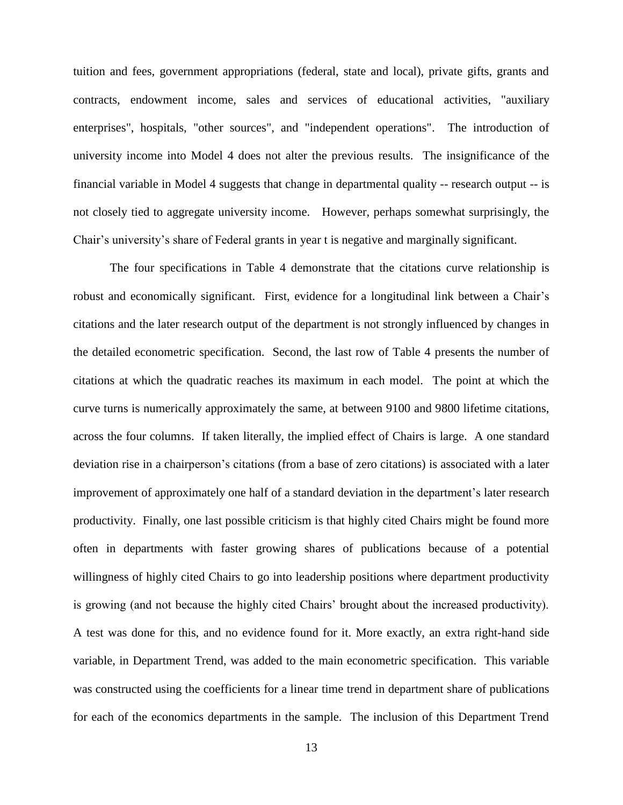tuition and fees, government appropriations (federal, state and local), private gifts, grants and contracts, endowment income, sales and services of educational activities, "auxiliary enterprises", hospitals, "other sources", and "independent operations". The introduction of university income into Model 4 does not alter the previous results. The insignificance of the financial variable in Model 4 suggests that change in departmental quality -- research output -- is not closely tied to aggregate university income. However, perhaps somewhat surprisingly, the Chair's university's share of Federal grants in year t is negative and marginally significant.

The four specifications in Table 4 demonstrate that the citations curve relationship is robust and economically significant. First, evidence for a longitudinal link between a Chair's citations and the later research output of the department is not strongly influenced by changes in the detailed econometric specification. Second, the last row of Table 4 presents the number of citations at which the quadratic reaches its maximum in each model. The point at which the curve turns is numerically approximately the same, at between 9100 and 9800 lifetime citations, across the four columns. If taken literally, the implied effect of Chairs is large. A one standard deviation rise in a chairperson's citations (from a base of zero citations) is associated with a later improvement of approximately one half of a standard deviation in the department's later research productivity. Finally, one last possible criticism is that highly cited Chairs might be found more often in departments with faster growing shares of publications because of a potential willingness of highly cited Chairs to go into leadership positions where department productivity is growing (and not because the highly cited Chairs' brought about the increased productivity). A test was done for this, and no evidence found for it. More exactly, an extra right-hand side variable, in Department Trend, was added to the main econometric specification. This variable was constructed using the coefficients for a linear time trend in department share of publications for each of the economics departments in the sample. The inclusion of this Department Trend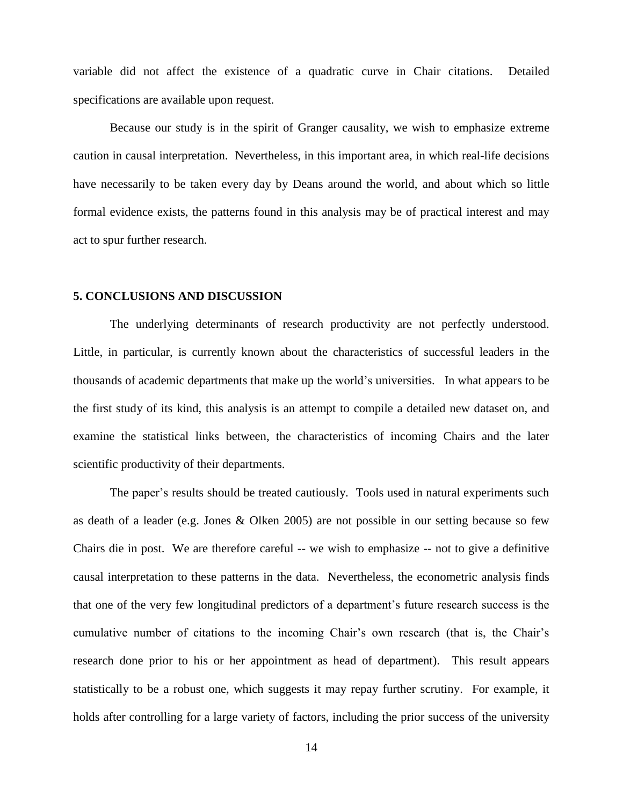variable did not affect the existence of a quadratic curve in Chair citations. Detailed specifications are available upon request.

Because our study is in the spirit of Granger causality, we wish to emphasize extreme caution in causal interpretation. Nevertheless, in this important area, in which real-life decisions have necessarily to be taken every day by Deans around the world, and about which so little formal evidence exists, the patterns found in this analysis may be of practical interest and may act to spur further research.

#### **5. CONCLUSIONS AND DISCUSSION**

The underlying determinants of research productivity are not perfectly understood. Little, in particular, is currently known about the characteristics of successful leaders in the thousands of academic departments that make up the world's universities. In what appears to be the first study of its kind, this analysis is an attempt to compile a detailed new dataset on, and examine the statistical links between, the characteristics of incoming Chairs and the later scientific productivity of their departments.

The paper's results should be treated cautiously. Tools used in natural experiments such as death of a leader (e.g. Jones & Olken 2005) are not possible in our setting because so few Chairs die in post. We are therefore careful -- we wish to emphasize -- not to give a definitive causal interpretation to these patterns in the data. Nevertheless, the econometric analysis finds that one of the very few longitudinal predictors of a department's future research success is the cumulative number of citations to the incoming Chair's own research (that is, the Chair's research done prior to his or her appointment as head of department). This result appears statistically to be a robust one, which suggests it may repay further scrutiny. For example, it holds after controlling for a large variety of factors, including the prior success of the university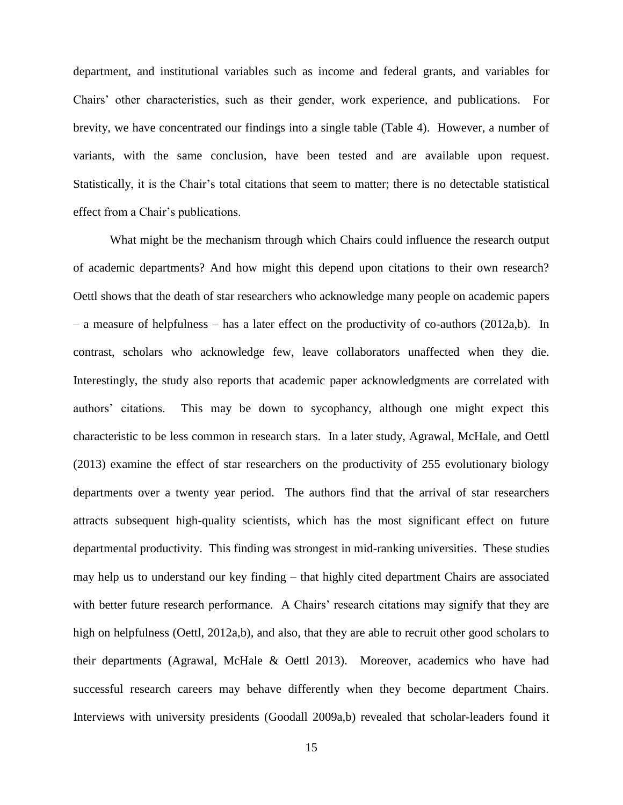department, and institutional variables such as income and federal grants, and variables for Chairs' other characteristics, such as their gender, work experience, and publications. For brevity, we have concentrated our findings into a single table (Table 4). However, a number of variants, with the same conclusion, have been tested and are available upon request. Statistically, it is the Chair's total citations that seem to matter; there is no detectable statistical effect from a Chair's publications.

What might be the mechanism through which Chairs could influence the research output of academic departments? And how might this depend upon citations to their own research? Oettl shows that the death of star researchers who acknowledge many people on academic papers – a measure of helpfulness – has a later effect on the productivity of co-authors (2012a,b). In contrast, scholars who acknowledge few, leave collaborators unaffected when they die. Interestingly, the study also reports that academic paper acknowledgments are correlated with authors' citations. This may be down to sycophancy, although one might expect this characteristic to be less common in research stars. In a later study, Agrawal, McHale, and Oettl (2013) examine the effect of star researchers on the productivity of 255 evolutionary biology departments over a twenty year period. The authors find that the arrival of star researchers attracts subsequent high-quality scientists, which has the most significant effect on future departmental productivity. This finding was strongest in mid-ranking universities. These studies may help us to understand our key finding – that highly cited department Chairs are associated with better future research performance. A Chairs' research citations may signify that they are high on helpfulness (Oettl, 2012a,b), and also, that they are able to recruit other good scholars to their departments (Agrawal, McHale & Oettl 2013). Moreover, academics who have had successful research careers may behave differently when they become department Chairs. Interviews with university presidents (Goodall 2009a,b) revealed that scholar-leaders found it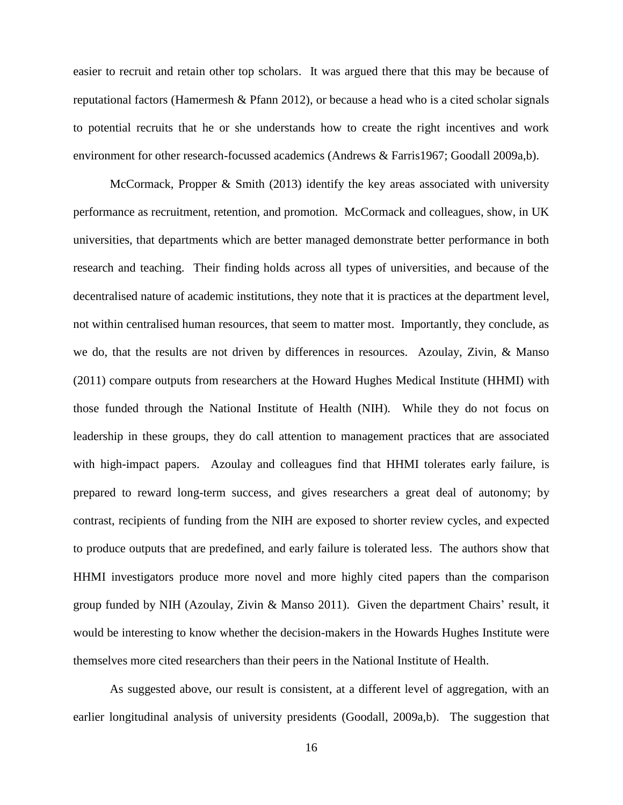easier to recruit and retain other top scholars. It was argued there that this may be because of reputational factors (Hamermesh & Pfann 2012), or because a head who is a cited scholar signals to potential recruits that he or she understands how to create the right incentives and work environment for other research-focussed academics (Andrews & Farris1967; Goodall 2009a,b).

McCormack, Propper & Smith (2013) identify the key areas associated with university performance as recruitment, retention, and promotion. McCormack and colleagues, show, in UK universities, that departments which are better managed demonstrate better performance in both research and teaching. Their finding holds across all types of universities, and because of the decentralised nature of academic institutions, they note that it is practices at the department level, not within centralised human resources, that seem to matter most. Importantly, they conclude, as we do, that the results are not driven by differences in resources. Azoulay, Zivin, & Manso (2011) compare outputs from researchers at the Howard Hughes Medical Institute (HHMI) with those funded through the National Institute of Health (NIH). While they do not focus on leadership in these groups, they do call attention to management practices that are associated with high-impact papers. Azoulay and colleagues find that HHMI tolerates early failure, is prepared to reward long-term success, and gives researchers a great deal of autonomy; by contrast, recipients of funding from the NIH are exposed to shorter review cycles, and expected to produce outputs that are predefined, and early failure is tolerated less. The authors show that HHMI investigators produce more novel and more highly cited papers than the comparison group funded by NIH (Azoulay, Zivin & Manso 2011). Given the department Chairs' result, it would be interesting to know whether the decision-makers in the Howards Hughes Institute were themselves more cited researchers than their peers in the National Institute of Health.

As suggested above, our result is consistent, at a different level of aggregation, with an earlier longitudinal analysis of university presidents (Goodall, 2009a,b). The suggestion that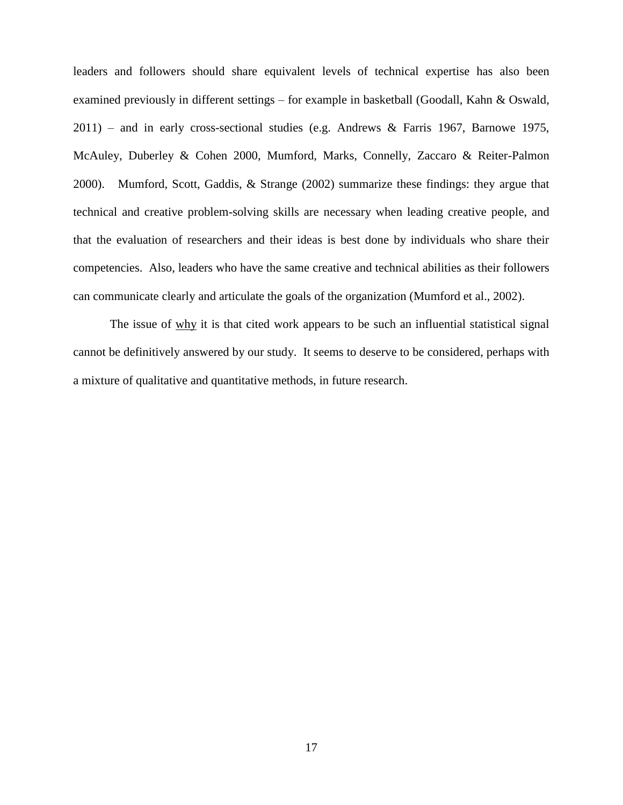leaders and followers should share equivalent levels of technical expertise has also been examined previously in different settings – for example in basketball (Goodall, Kahn & Oswald, 2011) – and in early cross-sectional studies (e.g. Andrews & Farris 1967, Barnowe 1975, McAuley, Duberley & Cohen 2000, Mumford, Marks, Connelly, Zaccaro & Reiter-Palmon 2000). Mumford, Scott, Gaddis, & Strange (2002) summarize these findings: they argue that technical and creative problem-solving skills are necessary when leading creative people, and that the evaluation of researchers and their ideas is best done by individuals who share their competencies. Also, leaders who have the same creative and technical abilities as their followers can communicate clearly and articulate the goals of the organization (Mumford et al., 2002).

The issue of why it is that cited work appears to be such an influential statistical signal cannot be definitively answered by our study. It seems to deserve to be considered, perhaps with a mixture of qualitative and quantitative methods, in future research.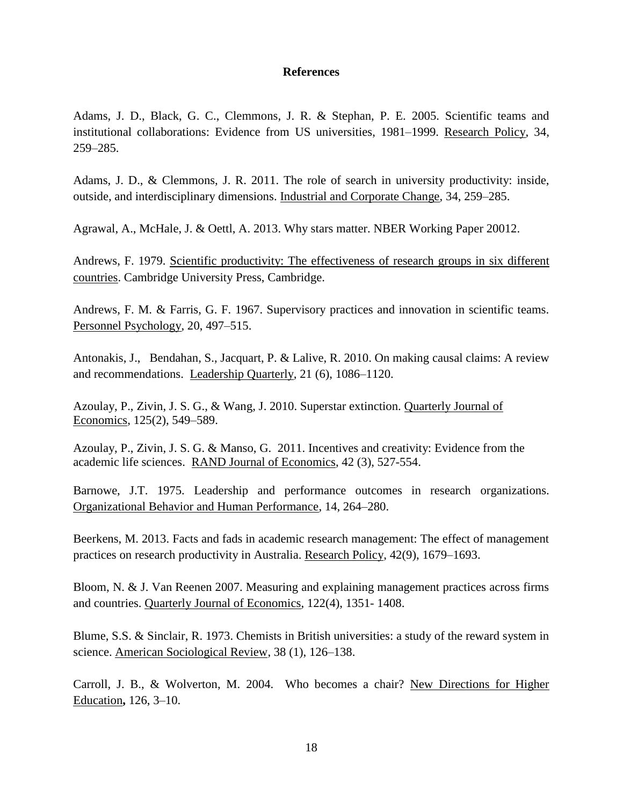#### **References**

Adams, J. D., Black, G. C., Clemmons, J. R. & Stephan, P. E. 2005. Scientific teams and institutional collaborations: Evidence from US universities, 1981–1999. Research Policy, 34, 259–285.

Adams, J. D., & Clemmons, J. R. 2011. The role of search in university productivity: inside, outside, and interdisciplinary dimensions. Industrial and Corporate Change, 34, 259–285.

Agrawal, A., McHale, J. & Oettl, A. 2013. Why stars matter. NBER Working Paper 20012.

Andrews, F. 1979. Scientific productivity: The effectiveness of research groups in six different countries. Cambridge University Press, Cambridge.

Andrews, F. M. & Farris, G. F. 1967. Supervisory practices and innovation in scientific teams. Personnel Psychology, 20, 497–515.

Antonakis, J., Bendahan, S., Jacquart, P. & Lalive, R. 2010. On making causal claims: A review and recommendations. Leadership Quarterly, 21 (6), 1086–1120.

Azoulay, P., Zivin, J. S. G., & Wang, J. 2010. Superstar extinction. Quarterly Journal of Economics, 125(2), 549–589.

Azoulay, P., Zivin, J. S. G. & Manso, G. 2011. Incentives and creativity: Evidence from the academic life sciences. RAND Journal of Economics, 42 (3), 527-554.

Barnowe, J.T. 1975. Leadership and performance outcomes in research organizations. Organizational Behavior and Human Performance, 14, 264–280.

Beerkens, M. 2013. Facts and fads in academic research management: The effect of management practices on research productivity in Australia. Research Policy, 42(9), 1679–1693.

Bloom, N. & J. Van Reenen 2007. Measuring and explaining management practices across firms and countries. Quarterly Journal of Economics, 122(4), 1351- 1408.

Blume, S.S. & Sinclair, R. 1973. Chemists in British universities: a study of the reward system in science. American Sociological Review, 38 (1), 126–138.

Carroll, J. B., & Wolverton, M. 2004. Who becomes a chair? New Directions for Higher Education**,** 126, 3–10.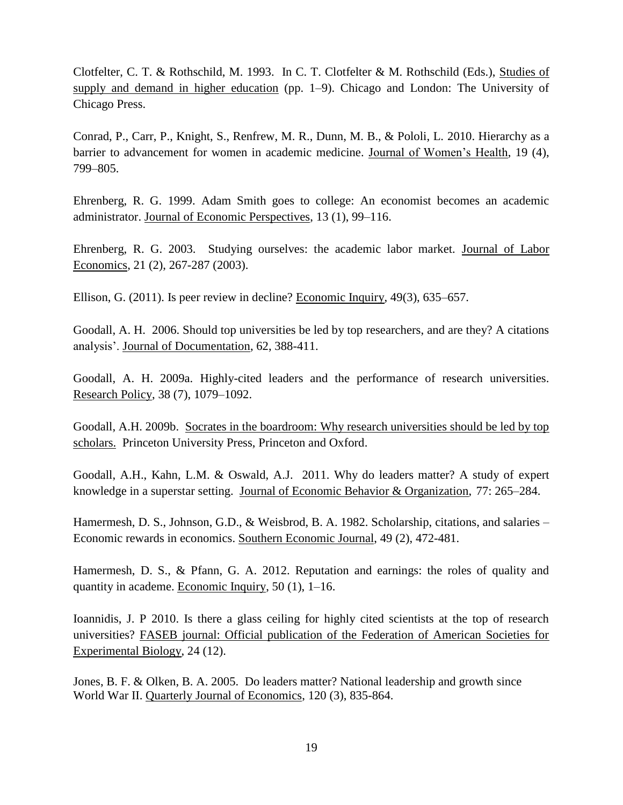Clotfelter, C. T. & Rothschild, M. 1993. In C. T. Clotfelter & M. Rothschild (Eds.), Studies of supply and demand in higher education (pp. 1–9). Chicago and London: The University of Chicago Press.

Conrad, P., Carr, P., Knight, S., Renfrew, M. R., Dunn, M. B., & Pololi, L. 2010. Hierarchy as a barrier to advancement for women in academic medicine. Journal of Women's Health, 19 (4), 799–805.

Ehrenberg, R. G. 1999. Adam Smith goes to college: An economist becomes an academic administrator. Journal of Economic Perspectives, 13 (1), 99–116.

Ehrenberg, R. G. 2003. Studying ourselves: the academic labor market. Journal of Labor Economics, 21 (2), 267-287 (2003).

Ellison, G. (2011). Is peer review in decline? Economic Inquiry, 49(3), 635–657.

Goodall, A. H. 2006. Should top universities be led by top researchers, and are they? A citations analysis'. Journal of Documentation, 62, 388-411.

Goodall, A. H. 2009a. Highly-cited leaders and the performance of research universities. Research Policy, 38 (7), 1079–1092.

Goodall, A.H. 2009b. Socrates in the boardroom: Why research universities should be led by top scholars. Princeton University Press, Princeton and Oxford.

Goodall, A.H., Kahn, L.M. & Oswald, A.J. 2011. Why do leaders matter? A study of expert knowledge in a superstar setting. Journal of Economic Behavior & Organization, 77: 265–284.

Hamermesh, D. S., Johnson, G.D., & Weisbrod, B. A. 1982. Scholarship, citations, and salaries – Economic rewards in economics. Southern Economic Journal, 49 (2), 472-481.

Hamermesh, D. S., & Pfann, G. A. 2012. Reputation and earnings: the roles of quality and quantity in academe. Economic Inquiry, 50 (1), 1–16.

Ioannidis, J. P 2010. Is there a glass ceiling for highly cited scientists at the top of research universities? FASEB journal: Official publication of the Federation of American Societies for Experimental Biology, 24 (12).

Jones, B. F. & Olken, B. A. 2005. Do leaders matter? National leadership and growth since World War II. Quarterly Journal of Economics, 120 (3), 835-864.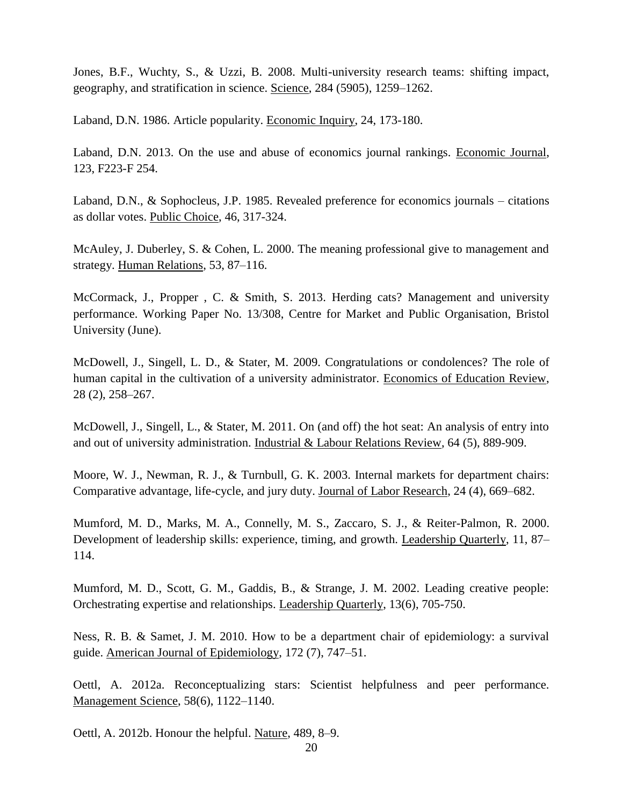Jones, B.F., Wuchty, S., & Uzzi, B. 2008. Multi-university research teams: shifting impact, geography, and stratification in science. Science, 284 (5905), 1259–1262.

Laband, D.N. 1986. Article popularity. Economic Inquiry, 24, 173-180.

Laband, D.N. 2013. On the use and abuse of economics journal rankings. Economic Journal, 123, F223-F 254.

Laband, D.N., & Sophocleus, J.P. 1985. Revealed preference for economics journals – citations as dollar votes. Public Choice, 46, 317-324.

McAuley, J. Duberley, S. & Cohen, L. 2000. The meaning professional give to management and strategy. Human Relations, 53, 87–116.

McCormack, J., Propper , C. & Smith, S. 2013. Herding cats? Management and university performance. Working Paper No. 13/308, Centre for Market and Public Organisation, Bristol University (June).

McDowell, J., Singell, L. D., & Stater, M. 2009. Congratulations or condolences? The role of human capital in the cultivation of a university administrator. Economics of Education Review, 28 (2), 258–267.

McDowell, J., Singell, L., & Stater, M. 2011. On (and off) the hot seat: An analysis of entry into and out of university administration. Industrial & Labour Relations Review, 64 (5), 889-909.

Moore, W. J., Newman, R. J., & Turnbull, G. K. 2003. Internal markets for department chairs: Comparative advantage, life-cycle, and jury duty. Journal of Labor Research, 24 (4), 669–682.

Mumford, M. D., Marks, M. A., Connelly, M. S., Zaccaro, S. J., & Reiter-Palmon, R. 2000. Development of leadership skills: experience, timing, and growth. Leadership Quarterly, 11, 87– 114.

Mumford, M. D., Scott, G. M., Gaddis, B., & Strange, J. M. 2002. Leading creative people: Orchestrating expertise and relationships. Leadership Quarterly, 13(6), 705-750.

Ness, R. B. & Samet, J. M. 2010. How to be a department chair of epidemiology: a survival guide. American Journal of Epidemiology, 172 (7), 747–51.

Oettl, A. 2012a. Reconceptualizing stars: Scientist helpfulness and peer performance. Management Science, 58(6), 1122–1140.

Oettl, A. 2012b. Honour the helpful. Nature, 489, 8–9.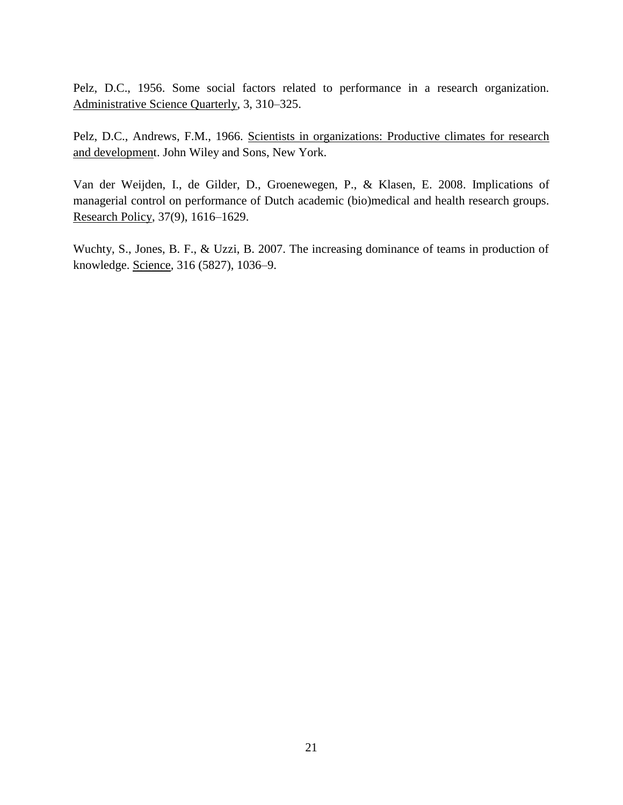Pelz, D.C., 1956. Some social factors related to performance in a research organization. Administrative Science Quarterly, 3, 310–325.

Pelz, D.C., Andrews, F.M., 1966. Scientists in organizations: Productive climates for research and development. John Wiley and Sons, New York.

Van der Weijden, I., de Gilder, D., Groenewegen, P., & Klasen, E. 2008. Implications of managerial control on performance of Dutch academic (bio)medical and health research groups. Research Policy, 37(9), 1616–1629.

Wuchty, S., Jones, B. F., & Uzzi, B. 2007. The increasing dominance of teams in production of knowledge. Science*,* 316 (5827), 1036–9.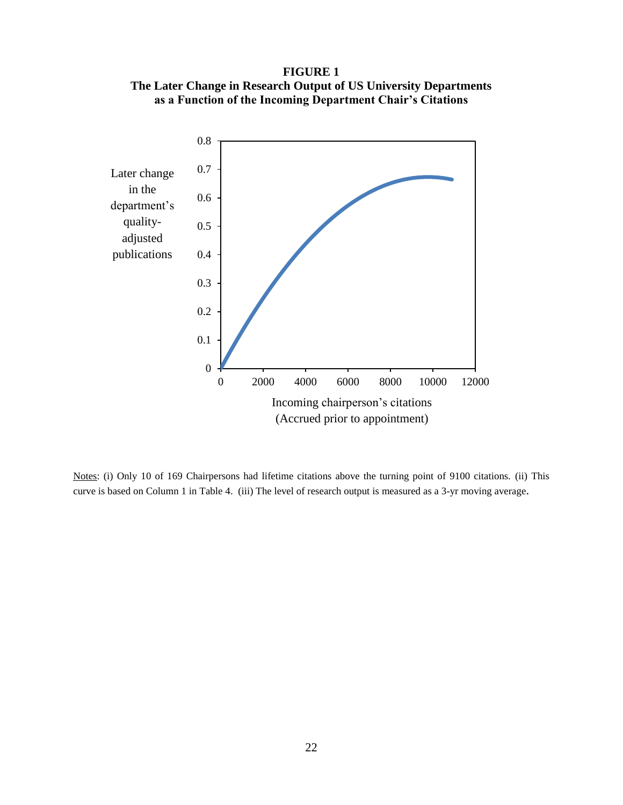**FIGURE 1 The Later Change in Research Output of US University Departments as a Function of the Incoming Department Chair's Citations**



Notes: (i) Only 10 of 169 Chairpersons had lifetime citations above the turning point of 9100 citations. (ii) This curve is based on Column 1 in Table 4. (iii) The level of research output is measured as a 3-yr moving average.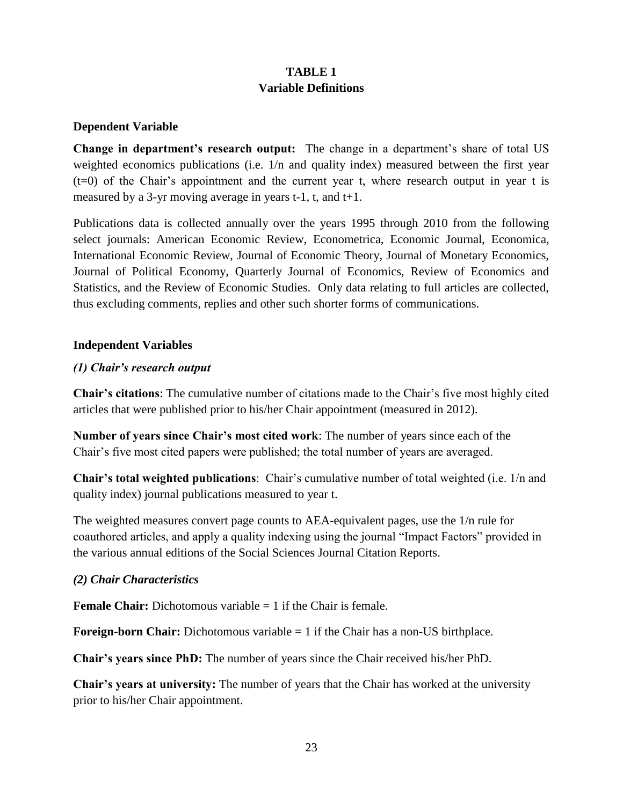## **TABLE 1 Variable Definitions**

## **Dependent Variable**

**Change in department's research output:** The change in a department's share of total US weighted economics publications (i.e.  $1/n$  and quality index) measured between the first year (t=0) of the Chair's appointment and the current year t, where research output in year t is measured by a 3-yr moving average in years  $t-1$ ,  $t$ , and  $t+1$ .

Publications data is collected annually over the years 1995 through 2010 from the following select journals: American Economic Review, Econometrica, Economic Journal, Economica, International Economic Review, Journal of Economic Theory, Journal of Monetary Economics, Journal of Political Economy, Quarterly Journal of Economics, Review of Economics and Statistics, and the Review of Economic Studies. Only data relating to full articles are collected, thus excluding comments, replies and other such shorter forms of communications.

### **Independent Variables**

## *(1) Chair's research output*

**Chair's citations**: The cumulative number of citations made to the Chair's five most highly cited articles that were published prior to his/her Chair appointment (measured in 2012).

**Number of years since Chair's most cited work**: The number of years since each of the Chair's five most cited papers were published; the total number of years are averaged.

**Chair's total weighted publications**: Chair's cumulative number of total weighted (i.e. 1/n and quality index) journal publications measured to year t.

The weighted measures convert page counts to AEA-equivalent pages, use the 1/n rule for coauthored articles, and apply a quality indexing using the journal "Impact Factors" provided in the various annual editions of the Social Sciences Journal Citation Reports.

## *(2) Chair Characteristics*

**Female Chair:** Dichotomous variable = 1 if the Chair is female.

**Foreign-born Chair:** Dichotomous variable = 1 if the Chair has a non-US birthplace.

**Chair's years since PhD:** The number of years since the Chair received his/her PhD.

**Chair's years at university:** The number of years that the Chair has worked at the university prior to his/her Chair appointment.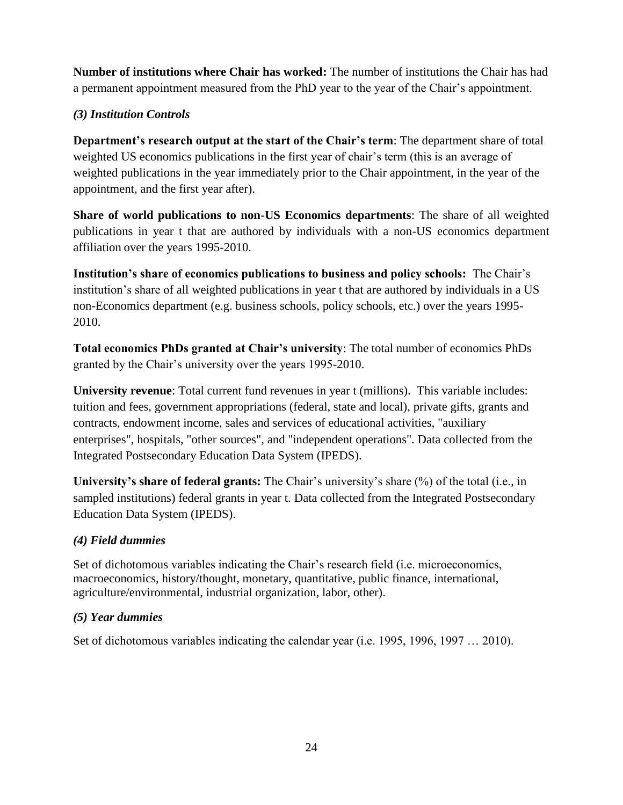**Number of institutions where Chair has worked:** The number of institutions the Chair has had a permanent appointment measured from the PhD year to the year of the Chair's appointment.

## *(3) Institution Controls*

**Department's research output at the start of the Chair's term**: The department share of total weighted US economics publications in the first year of chair's term (this is an average of weighted publications in the year immediately prior to the Chair appointment, in the year of the appointment, and the first year after).

**Share of world publications to non-US Economics departments**: The share of all weighted publications in year t that are authored by individuals with a non-US economics department affiliation over the years 1995-2010.

**Institution's share of economics publications to business and policy schools:** The Chair's institution's share of all weighted publications in year t that are authored by individuals in a US non-Economics department (e.g. business schools, policy schools, etc.) over the years 1995- 2010.

**Total economics PhDs granted at Chair's university**: The total number of economics PhDs granted by the Chair's university over the years 1995-2010.

**University revenue**: Total current fund revenues in year t (millions). This variable includes: tuition and fees, government appropriations (federal, state and local), private gifts, grants and contracts, endowment income, sales and services of educational activities, "auxiliary enterprises", hospitals, "other sources", and "independent operations". Data collected from the Integrated Postsecondary Education Data System (IPEDS).

**University's share of federal grants:** The Chair's university's share (%) of the total (i.e., in sampled institutions) federal grants in year t. Data collected from the Integrated Postsecondary Education Data System (IPEDS).

## *(4) Field dummies*

Set of dichotomous variables indicating the Chair's research field (i.e. microeconomics, macroeconomics, history/thought, monetary, quantitative, public finance, international, agriculture/environmental, industrial organization, labor, other).

## *(5) Year dummies*

Set of dichotomous variables indicating the calendar year (i.e. 1995, 1996, 1997 … 2010).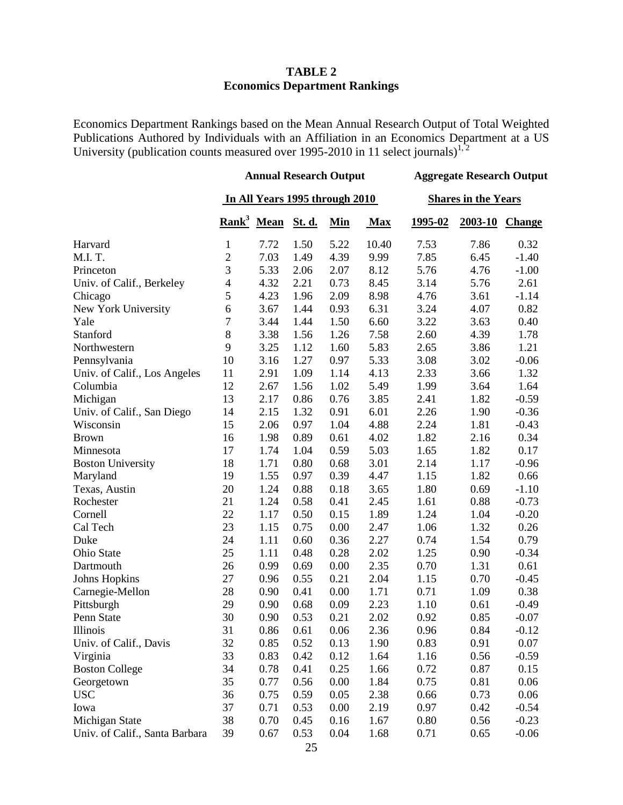#### **TABLE 2 Economics Department Rankings**

Economics Department Rankings based on the Mean Annual Research Output of Total Weighted Publications Authored by Individuals with an Affiliation in an Economics Department at a US University (publication counts measured over 1995-2010 in 11 select journals)<sup>1,2</sup>

|                                | <b>Annual Research Output</b>  |                        |        |            | <b>Aggregate Research Output</b> |         |         |               |
|--------------------------------|--------------------------------|------------------------|--------|------------|----------------------------------|---------|---------|---------------|
|                                | In All Years 1995 through 2010 |                        |        |            | <b>Shares in the Years</b>       |         |         |               |
|                                |                                | Rank <sup>3</sup> Mean | St. d. | <b>Min</b> | <b>Max</b>                       | 1995-02 | 2003-10 | <b>Change</b> |
| Harvard                        | $\mathbf{1}$                   | 7.72                   | 1.50   | 5.22       | 10.40                            | 7.53    | 7.86    | 0.32          |
| M.I.T.                         | $\overline{c}$                 | 7.03                   | 1.49   | 4.39       | 9.99                             | 7.85    | 6.45    | $-1.40$       |
| Princeton                      | $\overline{3}$                 | 5.33                   | 2.06   | 2.07       | 8.12                             | 5.76    | 4.76    | $-1.00$       |
| Univ. of Calif., Berkeley      | $\overline{\mathcal{A}}$       | 4.32                   | 2.21   | 0.73       | 8.45                             | 3.14    | 5.76    | 2.61          |
| Chicago                        | 5                              | 4.23                   | 1.96   | 2.09       | 8.98                             | 4.76    | 3.61    | $-1.14$       |
| New York University            | 6                              | 3.67                   | 1.44   | 0.93       | 6.31                             | 3.24    | 4.07    | 0.82          |
| Yale                           | $\overline{7}$                 | 3.44                   | 1.44   | 1.50       | 6.60                             | 3.22    | 3.63    | 0.40          |
| Stanford                       | $\,8\,$                        | 3.38                   | 1.56   | 1.26       | 7.58                             | 2.60    | 4.39    | 1.78          |
| Northwestern                   | 9                              | 3.25                   | 1.12   | 1.60       | 5.83                             | 2.65    | 3.86    | 1.21          |
| Pennsylvania                   | 10                             | 3.16                   | 1.27   | 0.97       | 5.33                             | 3.08    | 3.02    | $-0.06$       |
| Univ. of Calif., Los Angeles   | 11                             | 2.91                   | 1.09   | 1.14       | 4.13                             | 2.33    | 3.66    | 1.32          |
| Columbia                       | 12                             | 2.67                   | 1.56   | 1.02       | 5.49                             | 1.99    | 3.64    | 1.64          |
| Michigan                       | 13                             | 2.17                   | 0.86   | 0.76       | 3.85                             | 2.41    | 1.82    | $-0.59$       |
| Univ. of Calif., San Diego     | 14                             | 2.15                   | 1.32   | 0.91       | 6.01                             | 2.26    | 1.90    | $-0.36$       |
| Wisconsin                      | 15                             | 2.06                   | 0.97   | 1.04       | 4.88                             | 2.24    | 1.81    | $-0.43$       |
| <b>Brown</b>                   | 16                             | 1.98                   | 0.89   | 0.61       | 4.02                             | 1.82    | 2.16    | 0.34          |
| Minnesota                      | 17                             | 1.74                   | 1.04   | 0.59       | 5.03                             | 1.65    | 1.82    | 0.17          |
| <b>Boston University</b>       | 18                             | 1.71                   | 0.80   | 0.68       | 3.01                             | 2.14    | 1.17    | $-0.96$       |
| Maryland                       | 19                             | 1.55                   | 0.97   | 0.39       | 4.47                             | 1.15    | 1.82    | 0.66          |
| Texas, Austin                  | 20                             | 1.24                   | 0.88   | 0.18       | 3.65                             | 1.80    | 0.69    | $-1.10$       |
| Rochester                      | 21                             | 1.24                   | 0.58   | 0.41       | 2.45                             | 1.61    | 0.88    | $-0.73$       |
| Cornell                        | 22                             | 1.17                   | 0.50   | 0.15       | 1.89                             | 1.24    | 1.04    | $-0.20$       |
| Cal Tech                       | 23                             | 1.15                   | 0.75   | 0.00       | 2.47                             | 1.06    | 1.32    | 0.26          |
| Duke                           | 24                             | 1.11                   | 0.60   | 0.36       | 2.27                             | 0.74    | 1.54    | 0.79          |
| Ohio State                     | 25                             | 1.11                   | 0.48   | 0.28       | 2.02                             | 1.25    | 0.90    | $-0.34$       |
| Dartmouth                      | 26                             | 0.99                   | 0.69   | 0.00       | 2.35                             | 0.70    | 1.31    | 0.61          |
| <b>Johns Hopkins</b>           | 27                             | 0.96                   | 0.55   | 0.21       | 2.04                             | 1.15    | 0.70    | $-0.45$       |
| Carnegie-Mellon                | 28                             | 0.90                   | 0.41   | 0.00       | 1.71                             | 0.71    | 1.09    | 0.38          |
| Pittsburgh                     | 29                             | 0.90                   | 0.68   | 0.09       | 2.23                             | 1.10    | 0.61    | $-0.49$       |
| Penn State                     | 30                             | 0.90                   | 0.53   | 0.21       | 2.02                             | 0.92    | 0.85    | $-0.07$       |
| Illinois                       | 31                             | 0.86                   | 0.61   | 0.06       | 2.36                             | 0.96    | 0.84    | $-0.12$       |
| Univ. of Calif., Davis         | 32                             | 0.85                   | 0.52   | 0.13       | 1.90                             | 0.83    | 0.91    | 0.07          |
| Virginia                       | 33                             | 0.83                   | 0.42   | 0.12       | 1.64                             | 1.16    | 0.56    | $-0.59$       |
| <b>Boston College</b>          | 34                             | 0.78                   | 0.41   | 0.25       | 1.66                             | 0.72    | 0.87    | 0.15          |
| Georgetown                     | 35                             | 0.77                   | 0.56   | 0.00       | 1.84                             | 0.75    | 0.81    | 0.06          |
| <b>USC</b>                     | 36                             | 0.75                   | 0.59   | 0.05       | 2.38                             | 0.66    | 0.73    | 0.06          |
| Iowa                           | 37                             | 0.71                   | 0.53   | 0.00       | 2.19                             | 0.97    | 0.42    | $-0.54$       |
| Michigan State                 | 38                             | 0.70                   | 0.45   | 0.16       | 1.67                             | 0.80    | 0.56    | $-0.23$       |
| Univ. of Calif., Santa Barbara | 39                             | 0.67                   | 0.53   | 0.04       | 1.68                             | 0.71    | 0.65    | $-0.06$       |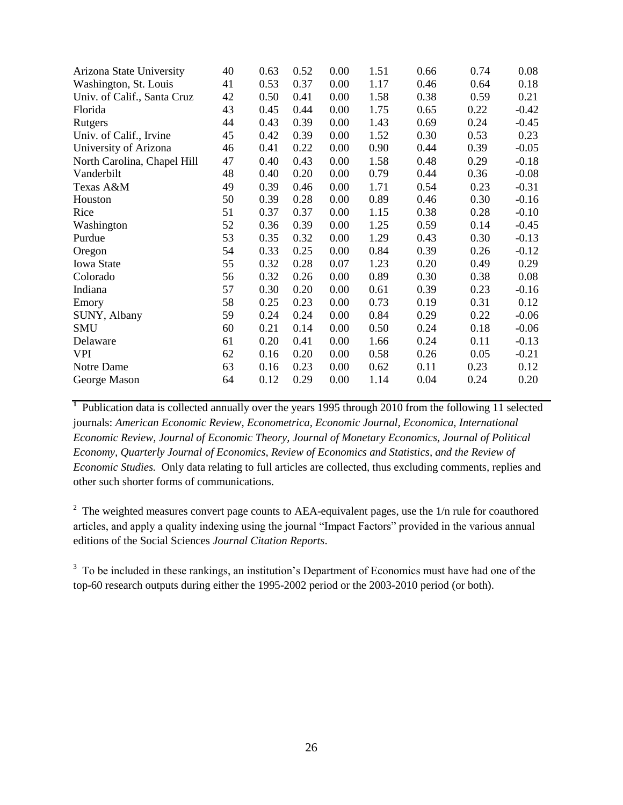| Arizona State University    | 40 | 0.63 | 0.52 | 0.00 | 1.51 | 0.66 | 0.74 | 0.08    |
|-----------------------------|----|------|------|------|------|------|------|---------|
| Washington, St. Louis       | 41 | 0.53 | 0.37 | 0.00 | 1.17 | 0.46 | 0.64 | 0.18    |
| Univ. of Calif., Santa Cruz | 42 | 0.50 | 0.41 | 0.00 | 1.58 | 0.38 | 0.59 | 0.21    |
| Florida                     | 43 | 0.45 | 0.44 | 0.00 | 1.75 | 0.65 | 0.22 | $-0.42$ |
| Rutgers                     | 44 | 0.43 | 0.39 | 0.00 | 1.43 | 0.69 | 0.24 | $-0.45$ |
| Univ. of Calif., Irvine     | 45 | 0.42 | 0.39 | 0.00 | 1.52 | 0.30 | 0.53 | 0.23    |
| University of Arizona       | 46 | 0.41 | 0.22 | 0.00 | 0.90 | 0.44 | 0.39 | $-0.05$ |
| North Carolina, Chapel Hill | 47 | 0.40 | 0.43 | 0.00 | 1.58 | 0.48 | 0.29 | $-0.18$ |
| Vanderbilt                  | 48 | 0.40 | 0.20 | 0.00 | 0.79 | 0.44 | 0.36 | $-0.08$ |
| Texas A&M                   | 49 | 0.39 | 0.46 | 0.00 | 1.71 | 0.54 | 0.23 | $-0.31$ |
| Houston                     | 50 | 0.39 | 0.28 | 0.00 | 0.89 | 0.46 | 0.30 | $-0.16$ |
| Rice                        | 51 | 0.37 | 0.37 | 0.00 | 1.15 | 0.38 | 0.28 | $-0.10$ |
| Washington                  | 52 | 0.36 | 0.39 | 0.00 | 1.25 | 0.59 | 0.14 | $-0.45$ |
| Purdue                      | 53 | 0.35 | 0.32 | 0.00 | 1.29 | 0.43 | 0.30 | $-0.13$ |
| Oregon                      | 54 | 0.33 | 0.25 | 0.00 | 0.84 | 0.39 | 0.26 | $-0.12$ |
| <b>Iowa State</b>           | 55 | 0.32 | 0.28 | 0.07 | 1.23 | 0.20 | 0.49 | 0.29    |
| Colorado                    | 56 | 0.32 | 0.26 | 0.00 | 0.89 | 0.30 | 0.38 | 0.08    |
| Indiana                     | 57 | 0.30 | 0.20 | 0.00 | 0.61 | 0.39 | 0.23 | $-0.16$ |
| Emory                       | 58 | 0.25 | 0.23 | 0.00 | 0.73 | 0.19 | 0.31 | 0.12    |
| SUNY, Albany                | 59 | 0.24 | 0.24 | 0.00 | 0.84 | 0.29 | 0.22 | $-0.06$ |
| <b>SMU</b>                  | 60 | 0.21 | 0.14 | 0.00 | 0.50 | 0.24 | 0.18 | $-0.06$ |
| Delaware                    | 61 | 0.20 | 0.41 | 0.00 | 1.66 | 0.24 | 0.11 | $-0.13$ |
| <b>VPI</b>                  | 62 | 0.16 | 0.20 | 0.00 | 0.58 | 0.26 | 0.05 | $-0.21$ |
| Notre Dame                  | 63 | 0.16 | 0.23 | 0.00 | 0.62 | 0.11 | 0.23 | 0.12    |
| George Mason                | 64 | 0.12 | 0.29 | 0.00 | 1.14 | 0.04 | 0.24 | 0.20    |

<sup>1</sup> Publication data is collected annually over the years 1995 through 2010 from the following 11 selected journals: *American Economic Review, Econometrica, Economic Journal, Economica, International Economic Review, Journal of Economic Theory, Journal of Monetary Economics, Journal of Political Economy, Quarterly Journal of Economics, Review of Economics and Statistics, and the Review of Economic Studies.* Only data relating to full articles are collected, thus excluding comments, replies and other such shorter forms of communications.

 $2^{\circ}$  The weighted measures convert page counts to AEA-equivalent pages, use the  $1/n$  rule for coauthored articles, and apply a quality indexing using the journal "Impact Factors" provided in the various annual editions of the Social Sciences *Journal Citation Reports*.

<sup>3</sup> To be included in these rankings, an institution's Department of Economics must have had one of the top-60 research outputs during either the 1995-2002 period or the 2003-2010 period (or both).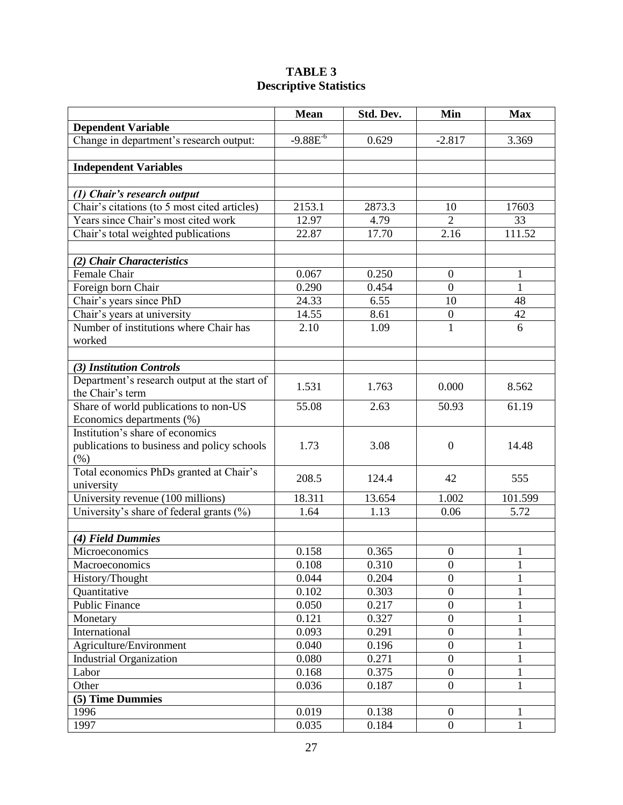## **TABLE 3 Descriptive Statistics**

|                                              | <b>Mean</b>   | Std. Dev. | Min              | <b>Max</b>   |
|----------------------------------------------|---------------|-----------|------------------|--------------|
| <b>Dependent Variable</b>                    |               |           |                  |              |
| Change in department's research output:      | $-9.88E^{-6}$ | 0.629     | $-2.817$         | 3.369        |
|                                              |               |           |                  |              |
| <b>Independent Variables</b>                 |               |           |                  |              |
|                                              |               |           |                  |              |
| (1) Chair's research output                  |               |           |                  |              |
| Chair's citations (to 5 most cited articles) | 2153.1        | 2873.3    | 10               | 17603        |
| Years since Chair's most cited work          | 12.97         | 4.79      | $\overline{2}$   | 33           |
| Chair's total weighted publications          | 22.87         | 17.70     | 2.16             | 111.52       |
|                                              |               |           |                  |              |
| (2) Chair Characteristics                    |               |           |                  |              |
| Female Chair                                 | 0.067         | 0.250     | $\boldsymbol{0}$ | 1            |
| Foreign born Chair                           | 0.290         | 0.454     | $\overline{0}$   | $\mathbf{1}$ |
| Chair's years since PhD                      | 24.33         | 6.55      | 10               | 48           |
| Chair's years at university                  | 14.55         | 8.61      | $\boldsymbol{0}$ | 42           |
| Number of institutions where Chair has       | 2.10          | 1.09      | $\mathbf{1}$     | 6            |
| worked                                       |               |           |                  |              |
|                                              |               |           |                  |              |
| (3) Institution Controls                     |               |           |                  |              |
| Department's research output at the start of | 1.531         | 1.763     | 0.000            | 8.562        |
| the Chair's term                             |               |           |                  |              |
| Share of world publications to non-US        | 55.08         | 2.63      | 50.93            | 61.19        |
| Economics departments (%)                    |               |           |                  |              |
| Institution's share of economics             |               |           |                  |              |
| publications to business and policy schools  | 1.73          | 3.08      | $\overline{0}$   | 14.48        |
| $(\% )$                                      |               |           |                  |              |
| Total economics PhDs granted at Chair's      | 208.5         | 124.4     | 42               | 555          |
| university                                   |               |           |                  |              |
| University revenue (100 millions)            | 18.311        | 13.654    | 1.002            | 101.599      |
| University's share of federal grants $(\% )$ | 1.64          | 1.13      | 0.06             | 5.72         |
|                                              |               |           |                  |              |
| (4) Field Dummies                            |               |           |                  |              |
| Microeconomics                               | 0.158         | 0.365     | $\boldsymbol{0}$ | 1            |
| <b>Macroeconomics</b>                        | 0.108         | 0.310     | $\theta$         | $\bf{l}$     |
| History/Thought                              | 0.044         | 0.204     | $\boldsymbol{0}$ | 1            |
| Quantitative                                 | 0.102         | 0.303     | $\boldsymbol{0}$ | $\mathbf{1}$ |
| <b>Public Finance</b>                        | 0.050         | 0.217     | $\boldsymbol{0}$ | $\mathbf{1}$ |
| Monetary                                     | 0.121         | 0.327     | $\boldsymbol{0}$ | $\mathbf{1}$ |
| International                                | 0.093         | 0.291     | $\boldsymbol{0}$ | 1            |
| Agriculture/Environment                      | 0.040         | 0.196     | $\boldsymbol{0}$ | 1            |
| <b>Industrial Organization</b>               | 0.080         | 0.271     | $\boldsymbol{0}$ | $\mathbf{1}$ |
| Labor                                        | 0.168         | 0.375     | $\mathbf{0}$     | 1            |
| Other                                        | 0.036         | 0.187     | $\boldsymbol{0}$ | $\mathbf{1}$ |
| (5) Time Dummies                             |               |           |                  |              |
| 1996                                         | 0.019         | 0.138     | $\boldsymbol{0}$ | 1            |
| 1997                                         | 0.035         | 0.184     | $\overline{0}$   | $\mathbf{1}$ |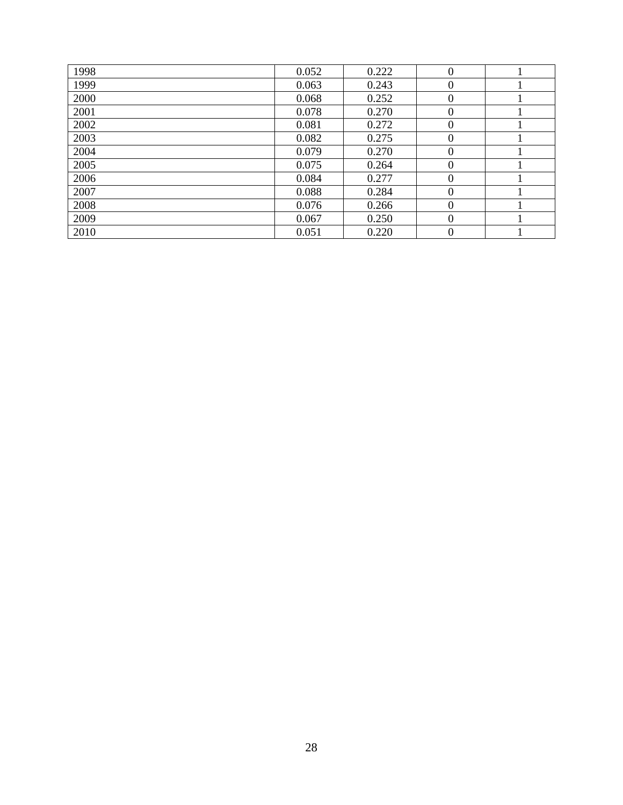| 1998 | 0.052 | 0.222 | $\theta$ |  |
|------|-------|-------|----------|--|
| 1999 | 0.063 | 0.243 | $\theta$ |  |
| 2000 | 0.068 | 0.252 | $\theta$ |  |
| 2001 | 0.078 | 0.270 | $\Omega$ |  |
| 2002 | 0.081 | 0.272 | $\Omega$ |  |
| 2003 | 0.082 | 0.275 | $\theta$ |  |
| 2004 | 0.079 | 0.270 | $\Omega$ |  |
| 2005 | 0.075 | 0.264 |          |  |
| 2006 | 0.084 | 0.277 | $\Omega$ |  |
| 2007 | 0.088 | 0.284 | $\Omega$ |  |
| 2008 | 0.076 | 0.266 | $\Omega$ |  |
| 2009 | 0.067 | 0.250 | $\Omega$ |  |
| 2010 | 0.051 | 0.220 | $\Omega$ |  |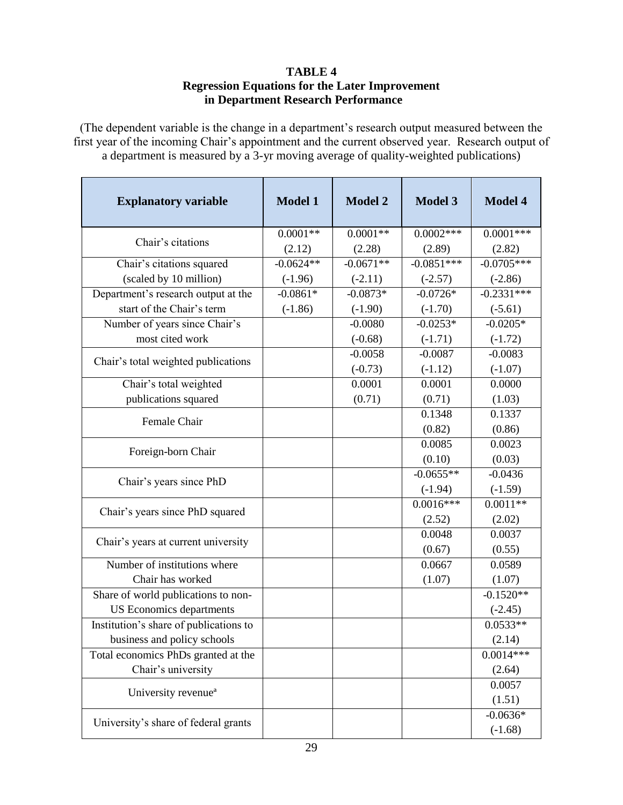### **TABLE 4 Regression Equations for the Later Improvement in Department Research Performance**

(The dependent variable is the change in a department's research output measured between the first year of the incoming Chair's appointment and the current observed year. Research output of a department is measured by a 3-yr moving average of quality-weighted publications)

| <b>Explanatory variable</b>            | <b>Model 1</b>        | <b>Model 2</b>        | <b>Model 3</b>         | <b>Model 4</b>         |
|----------------------------------------|-----------------------|-----------------------|------------------------|------------------------|
| Chair's citations                      | $0.0001**$            | $0.0001**$            | $0.0002***$            | $0.0001***$            |
| Chair's citations squared              | (2.12)<br>$-0.0624**$ | (2.28)<br>$-0.0671**$ | (2.89)<br>$-0.0851***$ | (2.82)<br>$-0.0705***$ |
| (scaled by 10 million)                 | $(-1.96)$             | $(-2.11)$             | $(-2.57)$              | $(-2.86)$              |
| Department's research output at the    | $-0.0861*$            | $-0.0873*$            | $-0.0726*$             | $-0.2331***$           |
| start of the Chair's term              | $(-1.86)$             | $(-1.90)$             | $(-1.70)$              | $(-5.61)$              |
| Number of years since Chair's          |                       | $-0.0080$             | $-0.0253*$             | $-0.0205*$             |
| most cited work                        |                       | $(-0.68)$             | $(-1.71)$              | $(-1.72)$              |
|                                        |                       | $-0.0058$             | $-0.0087$              | $-0.0083$              |
| Chair's total weighted publications    |                       | $(-0.73)$             | $(-1.12)$              | $(-1.07)$              |
| Chair's total weighted                 |                       | 0.0001                | 0.0001                 | 0.0000                 |
| publications squared                   |                       | (0.71)                | (0.71)                 | (1.03)                 |
|                                        |                       |                       | 0.1348                 | 0.1337                 |
| Female Chair                           |                       |                       | (0.82)                 | (0.86)                 |
|                                        |                       |                       | 0.0085                 | 0.0023                 |
| Foreign-born Chair                     |                       |                       | (0.10)                 | (0.03)                 |
|                                        |                       |                       | $-0.0655**$            | $-0.0436$              |
| Chair's years since PhD                |                       |                       | $(-1.94)$              | $(-1.59)$              |
|                                        |                       |                       | $0.0016***$            | $0.0011**$             |
| Chair's years since PhD squared        |                       |                       | (2.52)                 | (2.02)                 |
|                                        |                       |                       | 0.0048                 | 0.0037                 |
| Chair's years at current university    |                       |                       | (0.67)                 | (0.55)                 |
| Number of institutions where           |                       |                       | 0.0667                 | 0.0589                 |
| Chair has worked                       |                       |                       | (1.07)                 | (1.07)                 |
| Share of world publications to non-    |                       |                       |                        | $-0.1520**$            |
| <b>US</b> Economics departments        |                       |                       |                        | $(-2.45)$              |
| Institution's share of publications to |                       |                       |                        | $0.0533**$             |
| business and policy schools            |                       |                       |                        | (2.14)                 |
| Total economics PhDs granted at the    |                       |                       |                        | $0.0014***$            |
| Chair's university                     |                       |                       |                        | (2.64)                 |
| University revenue <sup>a</sup>        |                       |                       |                        | 0.0057                 |
|                                        |                       |                       |                        | (1.51)                 |
| University's share of federal grants   |                       |                       |                        | $-0.0636*$             |
|                                        |                       |                       |                        | $(-1.68)$              |